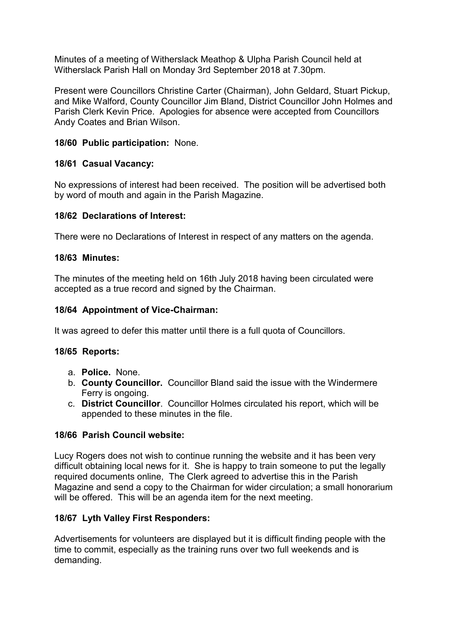Minutes of a meeting of Witherslack Meathop & Ulpha Parish Council held at Witherslack Parish Hall on Monday 3rd September 2018 at 7.30pm.

Present were Councillors Christine Carter (Chairman), John Geldard, Stuart Pickup, and Mike Walford, County Councillor Jim Bland, District Councillor John Holmes and Parish Clerk Kevin Price. Apologies for absence were accepted from Councillors Andy Coates and Brian Wilson.

## 18/60 Public participation: None.

## 18/61 Casual Vacancy:

No expressions of interest had been received. The position will be advertised both by word of mouth and again in the Parish Magazine.

## 18/62 Declarations of Interest:

There were no Declarations of Interest in respect of any matters on the agenda.

## 18/63 Minutes:

The minutes of the meeting held on 16th July 2018 having been circulated were accepted as a true record and signed by the Chairman.

## 18/64 Appointment of Vice-Chairman:

It was agreed to defer this matter until there is a full quota of Councillors.

#### 18/65 Reports:

- a. Police. None.
- b. County Councillor. Councillor Bland said the issue with the Windermere Ferry is ongoing.
- c. District Councillor. Councillor Holmes circulated his report, which will be appended to these minutes in the file.

# 18/66 Parish Council website:

Lucy Rogers does not wish to continue running the website and it has been very difficult obtaining local news for it. She is happy to train someone to put the legally required documents online, The Clerk agreed to advertise this in the Parish Magazine and send a copy to the Chairman for wider circulation; a small honorarium will be offered. This will be an agenda item for the next meeting.

# 18/67 Lyth Valley First Responders:

Advertisements for volunteers are displayed but it is difficult finding people with the time to commit, especially as the training runs over two full weekends and is demanding.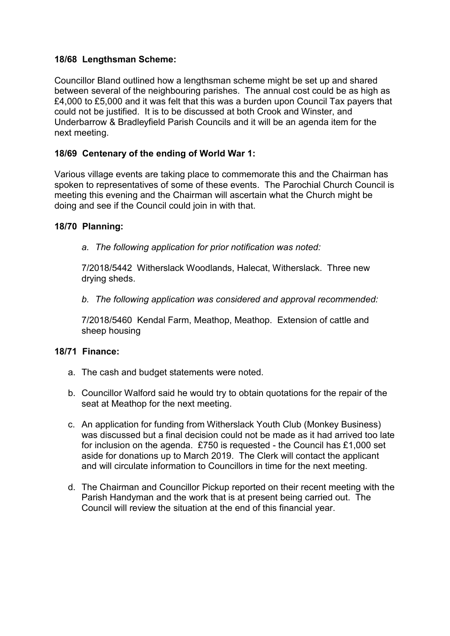## 18/68 Lengthsman Scheme:

Councillor Bland outlined how a lengthsman scheme might be set up and shared between several of the neighbouring parishes. The annual cost could be as high as £4,000 to £5,000 and it was felt that this was a burden upon Council Tax payers that could not be justified. It is to be discussed at both Crook and Winster, and Underbarrow & Bradleyfield Parish Councils and it will be an agenda item for the next meeting.

## 18/69 Centenary of the ending of World War 1:

Various village events are taking place to commemorate this and the Chairman has spoken to representatives of some of these events. The Parochial Church Council is meeting this evening and the Chairman will ascertain what the Church might be doing and see if the Council could join in with that.

#### 18/70 Planning:

*a. The following application for prior notification was noted:*

7/2018/5442 Witherslack Woodlands, Halecat, Witherslack. Three new drying sheds.

*b. The following application was considered and approval recommended:*

7/2018/5460 Kendal Farm, Meathop, Meathop. Extension of cattle and sheep housing

#### 18/71 Finance:

- a. The cash and budget statements were noted.
- b. Councillor Walford said he would try to obtain quotations for the repair of the seat at Meathop for the next meeting.
- c. An application for funding from Witherslack Youth Club (Monkey Business) was discussed but a final decision could not be made as it had arrived too late for inclusion on the agenda. £750 is requested - the Council has £1,000 set aside for donations up to March 2019. The Clerk will contact the applicant and will circulate information to Councillors in time for the next meeting.
- d. The Chairman and Councillor Pickup reported on their recent meeting with the Parish Handyman and the work that is at present being carried out. The Council will review the situation at the end of this financial year.